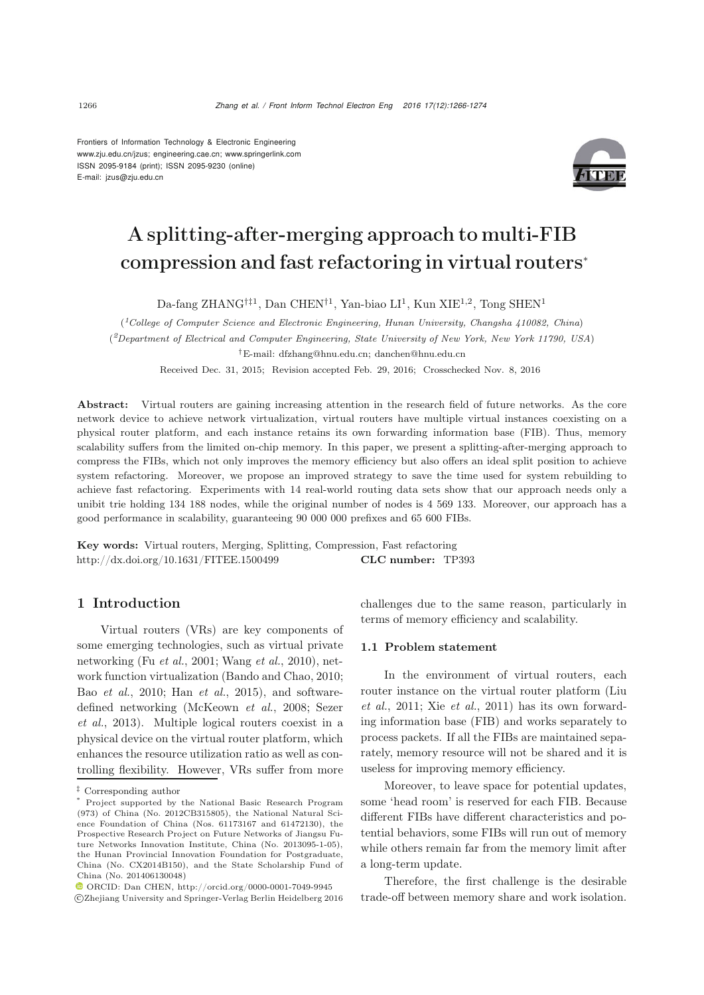Frontiers of Information Technology & Electronic Engineering www.zju.edu.cn/jzus; engineering.cae.cn; www.springerlink.com ISSN 2095-9184 (print); ISSN 2095-9230 (online) E-mail: jzus@zju.edu.cn



# A splitting-after-merging approach to multi-FIB compression and fast refactoring in virtual routers<sup>∗</sup>

Da-fang ZHANG<sup>†‡1</sup>, Dan CHEN<sup>†1</sup>, Yan-biao LI<sup>1</sup>, Kun XIE<sup>1,2</sup>, Tong SHEN<sup>1</sup>

(*1College of Computer Science and Electronic Engineering, Hunan University, Changsha 410082, China*)

(*2Department of Electrical and Computer Engineering, State University of New York, New York 11790, USA*)

*†*E-mail: dfzhang@hnu.edu.cn; danchen@hnu.edu.cn

Received Dec. 31, 2015; Revision accepted Feb. 29, 2016; Crosschecked Nov. 8, 2016

Abstract: Virtual routers are gaining increasing attention in the research field of future networks. As the core network device to achieve network virtualization, virtual routers have multiple virtual instances coexisting on a physical router platform, and each instance retains its own forwarding information base (FIB). Thus, memory scalability suffers from the limited on-chip memory. In this paper, we present a splitting-after-merging approach to compress the FIBs, which not only improves the memory efficiency but also offers an ideal split position to achieve system refactoring. Moreover, we propose an improved strategy to save the time used for system rebuilding to achieve fast refactoring. Experiments with 14 real-world routing data sets show that our approach needs only a unibit trie holding 134 188 nodes, while the original number of nodes is 4 569 133. Moreover, our approach has a good performance in scalability, guaranteeing 90 000 000 prefixes and 65 600 FIBs.

Key words: Virtual routers, Merging, Splitting, Compression, Fast refactoring http://dx.doi.org/10.1631/FITEE.1500499 **CLC number:** TP393

## 1 Introduction

Virtual routers (VRs) are key components of some emerging technologies, such as virtual private networking (Fu *[et al.](#page-8-0)*, [2001](#page-8-0); [Wang](#page-8-1) *et al.*, [2010\)](#page-8-1), network function virtualization [\(Bando and Chao, 2010;](#page-7-0) Bao *[et al.](#page-7-1)*, [2010;](#page-7-1) Han *[et al.](#page-8-2)*, [2015\)](#page-8-2), and softwaredefin[ed](#page-8-4) [networking](#page-8-4) [\(McKeown](#page-8-3) *et al.*, [2008;](#page-8-3) Sezer *et al.*, [2013](#page-8-4)). Multiple logical routers coexist in a physical device on the virtual router platform, which enhances the resource utilization ratio as well as controlling flexibility. However, VRs suffer from more challenges due to the same reason, particularly in terms of memory efficiency and scalability.

#### 1.1 Problem statement

In the environment of virtual routers, each route[r](#page-8-5) [instance](#page-8-5) [on](#page-8-5) [the](#page-8-5) [virtual](#page-8-5) [router](#page-8-5) [platform](#page-8-5) [\(](#page-8-5)Liu *et al.*, [2011](#page-8-5); Xie *[et al.](#page-8-6)*, [2011\)](#page-8-6) has its own forwarding information base (FIB) and works separately to process packets. If all the FIBs are maintained separately, memory resource will not be shared and it is useless for improving memory efficiency.

Moreover, to leave space for potential updates, some 'head room' is reserved for each FIB. Because different FIBs have different characteristics and potential behaviors, some FIBs will run out of memory while others remain far from the memory limit after a long-term update.

Therefore, the first challenge is the desirable trade-off between memory share and work isolation.

*<sup>‡</sup>* Corresponding author

Project supported by the National Basic Research Program (973) of China (No. 2012CB315805), the National Natural Science Foundation of China (Nos. 61173167 and 61472130), the Prospective Research Project on Future Networks of Jiangsu Future Networks Innovation Institute, China (No. 2013095-1-05), the Hunan Provincial Innovation Foundation for Postgraduate, China (No. CX2014B150), and the State Scholarship Fund of China (No. 201406130048)

 $\textcolor{blue}{\bullet}$  ORCID: Dan CHEN, http://orcid.org/0000-0001-7049-9945 c Zhejiang University and Springer-Verlag Berlin Heidelberg 2016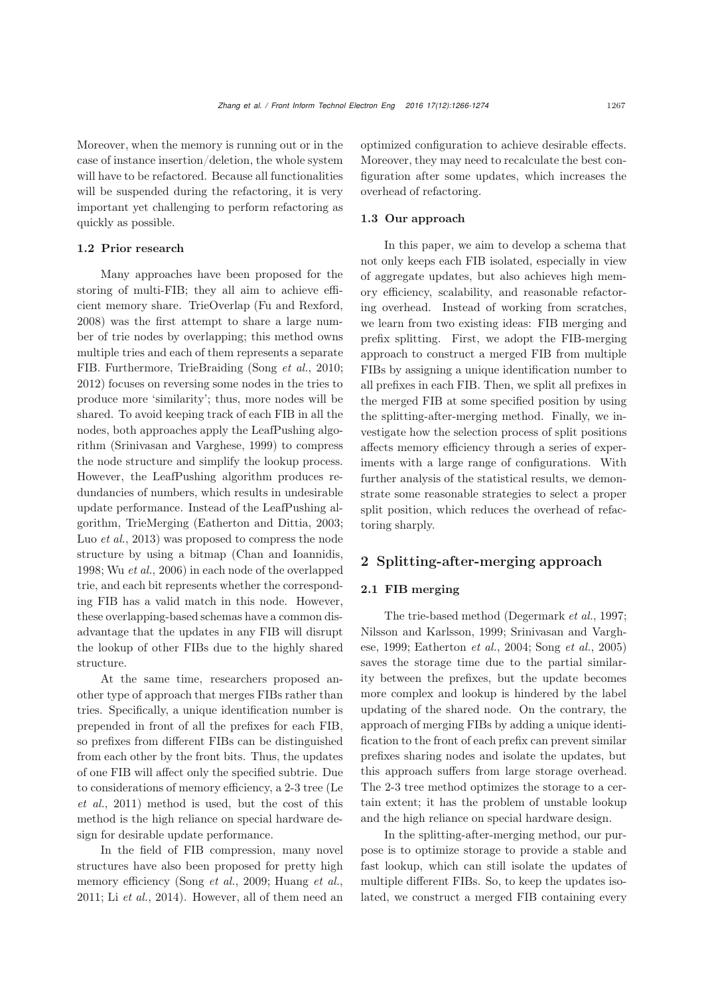case of instance insertion/deletion, the whole system will have to be refactored. Because all functionalities will be suspended during the refactoring, it is very important yet challenging to perform refactoring as quickly as possible.

## 1.2 Prior research

Many approaches have been proposed for the storing of multi-FIB; they all aim to achieve efficient memory share. TrieOverlap [\(Fu and Rexford,](#page-7-2) [2008](#page-7-2)) was the first attempt to share a large number of trie nodes by overlapping; this method owns multiple tries and each of them represents a separate FIB. Furthermore, TrieBraiding [\(Song](#page-8-7) *et al.*, [2010;](#page-8-7) [2012](#page-8-8)) focuses on reversing some nodes in the tries to produce more 'similarity'; thus, more nodes will be shared. To avoid keeping track of each FIB in all the nodes, both approaches apply the LeafPushing algorithm [\(Srinivasan and Varghese](#page-8-9), [1999\)](#page-8-9) to compress the node structure and simplify the lookup process. However, the LeafPushing algorithm produces redundancies of numbers, which results in undesirable update performance. Instead of the LeafPushing algorithm, TrieMerging [\(Eatherton and Dittia, 2003;](#page-7-3) Luo *[et al.](#page-8-10)*, [2013\)](#page-8-10) was proposed to compress the node structure by using a bitmap [\(Chan and Ioannidis,](#page-7-4) [1998](#page-7-4); Wu *[et al.](#page-8-11)*, [2006](#page-8-11)) in each node of the overlapped trie, and each bit represents whether the corresponding FIB has a valid match in this node. However, these overlapping-based schemas have a common disadvantage that the updates in any FIB will disrupt the lookup of other FIBs due to the highly shared structure.

At the same time, researchers proposed another type of approach that merges FIBs rather than tries. Specifically, a unique identification number is prepended in front of all the prefixes for each FIB, so prefixes from different FIBs can be distinguished from each other by the front bits. Thus, the updates of one FIB will affect only the specified subtrie. Due to co[nsiderations](#page-8-12) [of](#page-8-12) [memory](#page-8-12) [efficiency,](#page-8-12) [a](#page-8-12) [2-3](#page-8-12) [tree](#page-8-12) [\(](#page-8-12)Le *et al.*, [2011](#page-8-12)) method is used, but the cost of this method is the high reliance on special hardware design for desirable update performance.

In the field of FIB compression, many novel structures have also been proposed for pretty high memory efficiency [\(Song](#page-8-13) *et al.*, [2009;](#page-8-13) [Huang](#page-8-14) *et al.*, [2011](#page-8-14); Li *[et al.](#page-8-15)*, [2014\)](#page-8-15). However, all of them need an

optimized configuration to achieve desirable effects. Moreover, they may need to recalculate the best configuration after some updates, which increases the overhead of refactoring.

## 1.3 Our approach

In this paper, we aim to develop a schema that not only keeps each FIB isolated, especially in view of aggregate updates, but also achieves high memory efficiency, scalability, and reasonable refactoring overhead. Instead of working from scratches, we learn from two existing ideas: FIB merging and prefix splitting. First, we adopt the FIB-merging approach to construct a merged FIB from multiple FIBs by assigning a unique identification number to all prefixes in each FIB. Then, we split all prefixes in the merged FIB at some specified position by using the splitting-after-merging method. Finally, we investigate how the selection process of split positions affects memory efficiency through a series of experiments with a large range of configurations. With further analysis of the statistical results, we demonstrate some reasonable strategies to select a proper split position, which reduces the overhead of refactoring sharply.

## 2 Splitting-after-merging approach

## 2.1 FIB merging

The trie-based method [\(Degermark](#page-7-5) *et al.*, [1997;](#page-7-5) [Nilsson and Karlsson](#page-8-16)[,](#page-8-9) [1999](#page-8-16)[;](#page-8-9) Srinivasan and Varghese, [1999](#page-8-9); [Eatherton](#page-7-6) *et al.*, [2004;](#page-7-6) [Song](#page-8-17) *et al.*, [2005](#page-8-17)) saves the storage time due to the partial similarity between the prefixes, but the update becomes more complex and lookup is hindered by the label updating of the shared node. On the contrary, the approach of merging FIBs by adding a unique identification to the front of each prefix can prevent similar prefixes sharing nodes and isolate the updates, but this approach suffers from large storage overhead. The 2-3 tree method optimizes the storage to a certain extent; it has the problem of unstable lookup and the high reliance on special hardware design.

In the splitting-after-merging method, our purpose is to optimize storage to provide a stable and fast lookup, which can still isolate the updates of multiple different FIBs. So, to keep the updates isolated, we construct a merged FIB containing every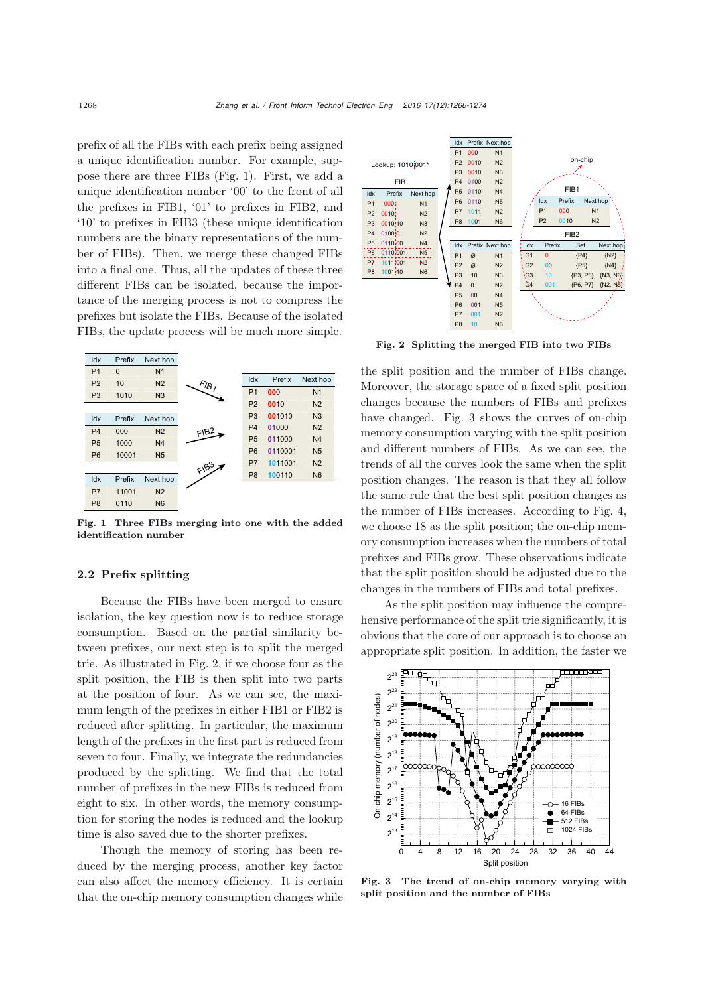prefix of all the FIBs with each prefix being assigned a unique identification number. For example, suppose there are three FIBs (Fig. [1\)](#page-2-0). First, we add a unique identification number '00' to the front of all the prefixes in FIB1, '01' to prefixes in FIB2, and '10' to prefixes in FIB3 (these unique identification numbers are the binary representations of the number of FIBs). Then, we merge these changed FIBs into a final one. Thus, all the updates of these three different FIBs can be isolated, because the importance of the merging process is not to compress the prefixes but isolate the FIBs. Because of the isolated FIBs, the update process will be much more simple.



<span id="page-2-0"></span>Fig. 1 Three FIBs merging into one with the added identification number

#### 2.2 Prefix splitting

Because the FIBs have been merged to ensure isolation, the key question now is to reduce storage consumption. Based on the partial similarity between prefixes, our next step is to split the merged trie. As illustrated in Fig. [2,](#page-2-1) if we choose four as the split position, the FIB is then split into two parts at the position of four. As we can see, the maximum length of the prefixes in either FIB1 or FIB2 is reduced after splitting. In particular, the maximum length of the prefixes in the first part is reduced from seven to four. Finally, we integrate the redundancies produced by the splitting. We find that the total number of prefixes in the new FIBs is reduced from eight to six. In other words, the memory consumption for storing the nodes is reduced and the lookup time is also saved due to the shorter prefixes.

Though the memory of storing has been reduced by the merging process, another key factor can also affect the memory efficiency. It is certain that the on-chip memory consumption changes while



<span id="page-2-1"></span>Fig. 2 Splitting the merged FIB into two FIBs

the split position and the number of FIBs change. Moreover, the storage space of a fixed split position changes because the numbers of FIBs and prefixes have changed. Fig. [3](#page-2-2) shows the curves of on-chip memory consumption varying with the split position and different numbers of FIBs. As we can see, the trends of all the curves look the same when the split position changes. The reason is that they all follow the same rule that the best split position changes as the number of FIBs increases. According to Fig. [4,](#page-3-0) we choose 18 as the split position; the on-chip memory consumption increases when the numbers of total prefixes and FIBs grow. These observations indicate that the split position should be adjusted due to the changes in the numbers of FIBs and total prefixes.

As the split position may influence the comprehensive performance of the split trie significantly, it is obvious that the core of our approach is to choose an appropriate split position. In addition, the faster we



<span id="page-2-2"></span>Fig. 3 The trend of on-chip memory varying with split position and the number of FIBs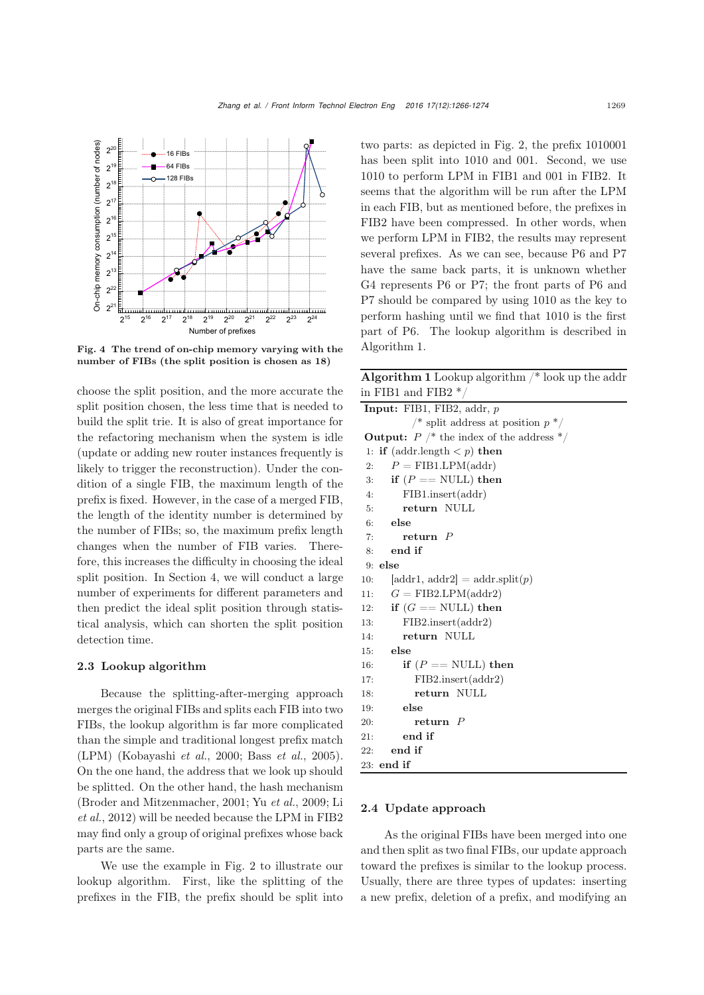

<span id="page-3-0"></span>Fig. 4 The trend of on-chip memory varying with the number of FIBs (the split position is chosen as 18)

choose the split position, and the more accurate the split position chosen, the less time that is needed to build the split trie. It is also of great importance for the refactoring mechanism when the system is idle (update or adding new router instances frequently is likely to trigger the reconstruction). Under the condition of a single FIB, the maximum length of the prefix is fixed. However, in the case of a merged FIB, the length of the identity number is determined by the number of FIBs; so, the maximum prefix length changes when the number of FIB varies. Therefore, this increases the difficulty in choosing the ideal split position. In Section [4,](#page-5-0) we will conduct a large number of experiments for different parameters and then predict the ideal split position through statistical analysis, which can shorten the split position detection time.

## 2.3 Lookup algorithm

Because the splitting-after-merging approach merges the original FIBs and splits each FIB into two FIBs, the lookup algorithm is far more complicated than the simple and traditional longest prefix match (LPM) [\(Kobayashi](#page-8-18) *et al.*, [2000;](#page-8-18) Bass *[et al.](#page-7-7)*, [2005\)](#page-7-7). On the one hand, the address that we look up should be splitted. On the other hand, the hash mechanism [\(Broder and Mitzenmacher, 2001](#page-7-8)[;](#page-8-20) [Yu](#page-8-20) *[et al.](#page-8-19)*, [2009;](#page-8-19) Li *et al.*, [2012\)](#page-8-20) will be needed because the LPM in FIB2 may find only a group of original prefixes whose back parts are the same.

We use the example in Fig. [2](#page-2-1) to illustrate our lookup algorithm. First, like the splitting of the prefixes in the FIB, the prefix should be split into

two parts: as depicted in Fig. [2,](#page-2-1) the prefix 1010001 has been split into 1010 and 001. Second, we use 1010 to perform LPM in FIB1 and 001 in FIB2. It seems that the algorithm will be run after the LPM in each FIB, but as mentioned before, the prefixes in FIB2 have been compressed. In other words, when we perform LPM in FIB2, the results may represent several prefixes. As we can see, because P6 and P7 have the same back parts, it is unknown whether G4 represents P6 or P7; the front parts of P6 and P7 should be compared by using 1010 as the key to perform hashing until we find that 1010 is the first part of P6. The lookup algorithm is described in Algorithm 1.

| <b>Algorithm 1</b> Lookup algorithm $\frac{*}{\infty}$ look up the addr |  |  |
|-------------------------------------------------------------------------|--|--|
| in FIB1 and FIB2 $^*/$                                                  |  |  |

| Input: FIB1, FIB2, addr, $p$                             |  |  |  |  |
|----------------------------------------------------------|--|--|--|--|
| /* split address at position $p^*$ /                     |  |  |  |  |
| <b>Output:</b> $P \nmid^*$ the index of the address $*/$ |  |  |  |  |
| 1: if (addr.length $\lt p$ ) then                        |  |  |  |  |
| $P = \text{FIB1.LPM}(\text{addr})$<br>2:                 |  |  |  |  |
| if $(P == NULL)$ then<br>3:                              |  |  |  |  |
| FIB1.insert(addr)<br>4:                                  |  |  |  |  |
| return NULL<br>5:                                        |  |  |  |  |
| 6: else                                                  |  |  |  |  |
| return $P$<br>7:                                         |  |  |  |  |
| end if<br>8:                                             |  |  |  |  |
| $9:$ else                                                |  |  |  |  |
| $[addr1, addr2] = addr.split(p)$<br>10:                  |  |  |  |  |
| $G = \text{FIB2.LPM}(\text{addr2})$<br>11:               |  |  |  |  |
| if $(G == \text{NULL})$ then<br>12:                      |  |  |  |  |
| FIB2.insert(addr2)<br>13:                                |  |  |  |  |
| return NULL<br>14:                                       |  |  |  |  |
| 15: else                                                 |  |  |  |  |
| if $(P == NULL)$ then<br>16:                             |  |  |  |  |
| FIB2.insert(addr2)<br>17:                                |  |  |  |  |
| return NULL<br>18:                                       |  |  |  |  |
| else<br>19:                                              |  |  |  |  |
| return $P$<br>20:                                        |  |  |  |  |
| end if<br>21:                                            |  |  |  |  |
| end if<br>22:                                            |  |  |  |  |
| $23:$ end if                                             |  |  |  |  |

#### 2.4 Update approach

As the original FIBs have been merged into one and then split as two final FIBs, our update approach toward the prefixes is similar to the lookup process. Usually, there are three types of updates: inserting a new prefix, deletion of a prefix, and modifying an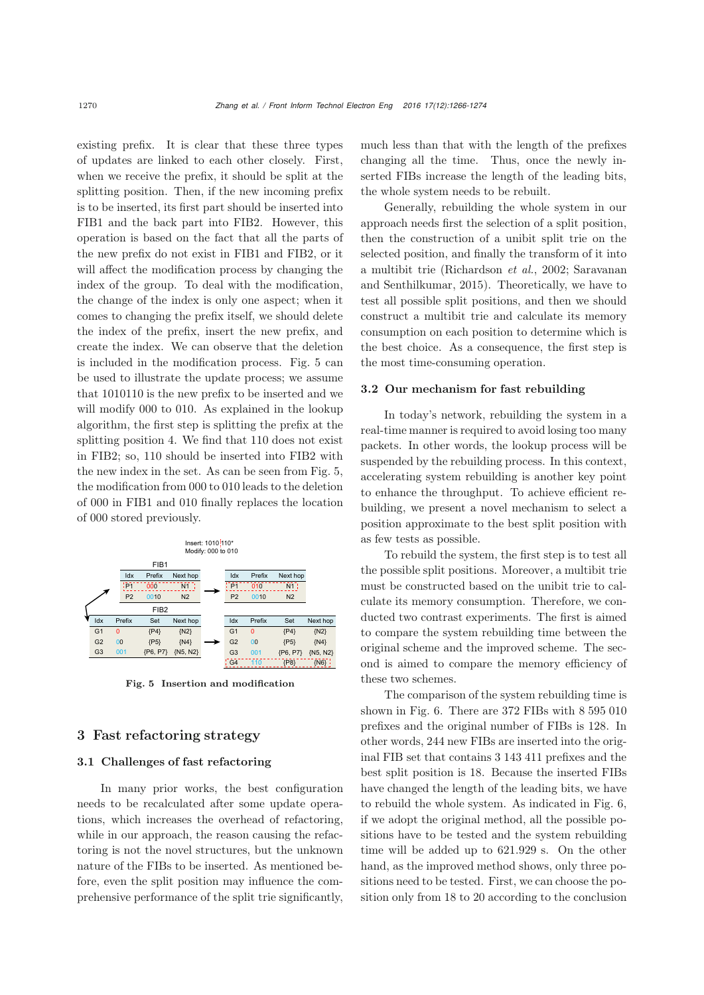existing prefix. It is clear that these three types of updates are linked to each other closely. First, when we receive the prefix, it should be split at the splitting position. Then, if the new incoming prefix is to be inserted, its first part should be inserted into FIB1 and the back part into FIB2. However, this operation is based on the fact that all the parts of the new prefix do not exist in FIB1 and FIB2, or it will affect the modification process by changing the index of the group. To deal with the modification, the change of the index is only one aspect; when it comes to changing the prefix itself, we should delete the index of the prefix, insert the new prefix, and create the index. We can observe that the deletion is included in the modification process. Fig. [5](#page-4-0) can be used to illustrate the update process; we assume that 1010110 is the new prefix to be inserted and we will modify 000 to 010. As explained in the lookup algorithm, the first step is splitting the prefix at the splitting position 4. We find that 110 does not exist in FIB2; so, 110 should be inserted into FIB2 with the new index in the set. As can be seen from Fig. [5,](#page-4-0) the modification from 000 to 010 leads to the deletion of 000 in FIB1 and 010 finally replaces the location of 000 stored previously.



<span id="page-4-0"></span>Fig. 5 Insertion and modification

## 3 Fast refactoring strategy

#### 3.1 Challenges of fast refactoring

In many prior works, the best configuration needs to be recalculated after some update operations, which increases the overhead of refactoring, while in our approach, the reason causing the refactoring is not the novel structures, but the unknown nature of the FIBs to be inserted. As mentioned before, even the split position may influence the comprehensive performance of the split trie significantly, much less than that with the length of the prefixes changing all the time. Thus, once the newly inserted FIBs increase the length of the leading bits, the whole system needs to be rebuilt.

Generally, rebuilding the whole system in our approach needs first the selection of a split position, then the construction of a unibit split trie on the selected position, and finally the transform of it into a multibit trie [\(Richardson](#page-8-21) *et al.*, [2002;](#page-8-21) Saravanan and Senthilkumar, [2015\)](#page-8-22). Theoretically, we have to test all possible split positions, and then we should construct a multibit trie and calculate its memory consumption on each position to determine which is the best choice. As a consequence, the first step is the most time-consuming operation.

#### 3.2 Our mechanism for fast rebuilding

In today's network, rebuilding the system in a real-time manner is required to avoid losing too many packets. In other words, the lookup process will be suspended by the rebuilding process. In this context, accelerating system rebuilding is another key point to enhance the throughput. To achieve efficient rebuilding, we present a novel mechanism to select a position approximate to the best split position with as few tests as possible.

To rebuild the system, the first step is to test all the possible split positions. Moreover, a multibit trie must be constructed based on the unibit trie to calculate its memory consumption. Therefore, we conducted two contrast experiments. The first is aimed to compare the system rebuilding time between the original scheme and the improved scheme. The second is aimed to compare the memory efficiency of these two schemes.

The comparison of the system rebuilding time is shown in Fig. [6.](#page-5-1) There are 372 FIBs with 8 595 010 prefixes and the original number of FIBs is 128. In other words, 244 new FIBs are inserted into the original FIB set that contains 3 143 411 prefixes and the best split position is 18. Because the inserted FIBs have changed the length of the leading bits, we have to rebuild the whole system. As indicated in Fig. [6,](#page-5-1) if we adopt the original method, all the possible positions have to be tested and the system rebuilding time will be added up to 621.929 s. On the other hand, as the improved method shows, only three positions need to be tested. First, we can choose the position only from 18 to 20 according to the conclusion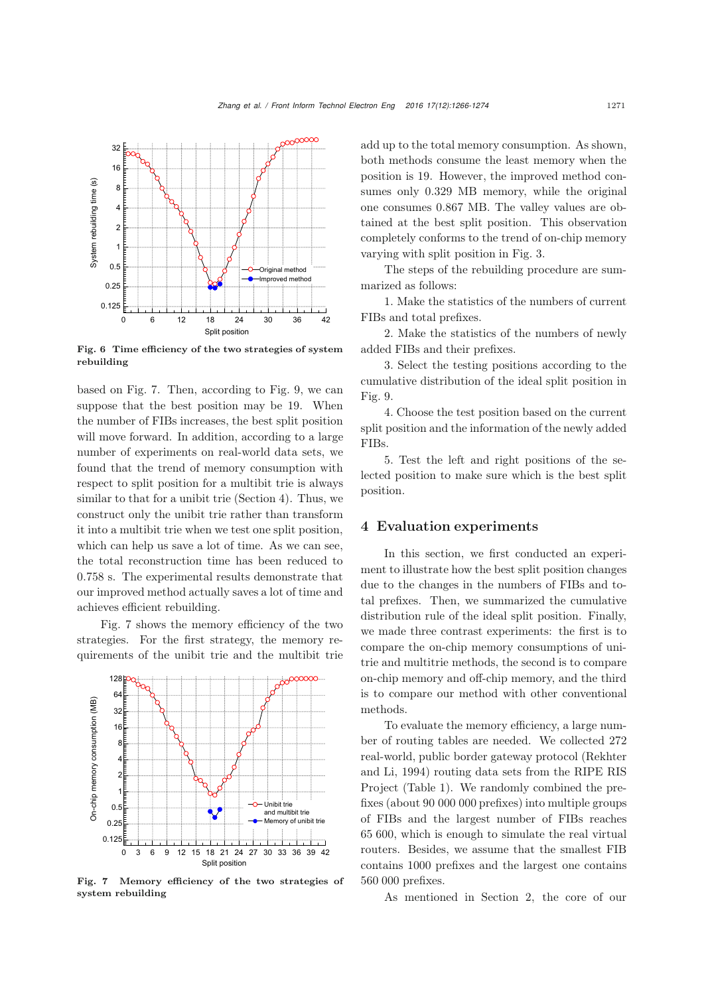

<span id="page-5-1"></span>Fig. 6 Time efficiency of the two strategies of system rebuilding

based on Fig. [7.](#page-5-2) Then, according to Fig. [9,](#page-6-0) we can suppose that the best position may be 19. When the number of FIBs increases, the best split position will move forward. In addition, according to a large number of experiments on real-world data sets, we found that the trend of memory consumption with respect to split position for a multibit trie is always similar to that for a unibit trie (Section [4\)](#page-5-0). Thus, we construct only the unibit trie rather than transform it into a multibit trie when we test one split position, which can help us save a lot of time. As we can see, the total reconstruction time has been reduced to 0.758 s. The experimental results demonstrate that our improved method actually saves a lot of time and achieves efficient rebuilding.

Fig. [7](#page-5-2) shows the memory efficiency of the two strategies. For the first strategy, the memory requirements of the unibit trie and the multibit trie



<span id="page-5-2"></span>Fig. 7 Memory efficiency of the two strategies of system rebuilding

add up to the total memory consumption. As shown, both methods consume the least memory when the position is 19. However, the improved method consumes only 0.329 MB memory, while the original one consumes 0.867 MB. The valley values are obtained at the best split position. This observation completely conforms to the trend of on-chip memory varying with split position in Fig. [3.](#page-2-2)

The steps of the rebuilding procedure are summarized as follows:

1. Make the statistics of the numbers of current FIBs and total prefixes.

2. Make the statistics of the numbers of newly added FIBs and their prefixes.

3. Select the testing positions according to the cumulative distribution of the ideal split position in Fig. [9.](#page-6-0)

4. Choose the test position based on the current split position and the information of the newly added FIBs.

5. Test the left and right positions of the selected position to make sure which is the best split position.

#### <span id="page-5-0"></span>4 Evaluation experiments

In this section, we first conducted an experiment to illustrate how the best split position changes due to the changes in the numbers of FIBs and total prefixes. Then, we summarized the cumulative distribution rule of the ideal split position. Finally, we made three contrast experiments: the first is to compare the on-chip memory consumptions of unitrie and multitrie methods, the second is to compare on-chip memory and off-chip memory, and the third is to compare our method with other conventional methods.

To evaluate the memory efficiency, a large number of routing tables are needed. We collected 272 real-world, public border gateway protocol (Rekhter and Li, [1994\)](#page-8-23) routing data sets from the RIPE RIS Project (Table [1\)](#page-6-1). We randomly combined the prefixes (about 90 000 000 prefixes) into multiple groups of FIBs and the largest number of FIBs reaches 65 600, which is enough to simulate the real virtual routers. Besides, we assume that the smallest FIB contains 1000 prefixes and the largest one contains 560 000 prefixes.

As mentioned in Section 2, the core of our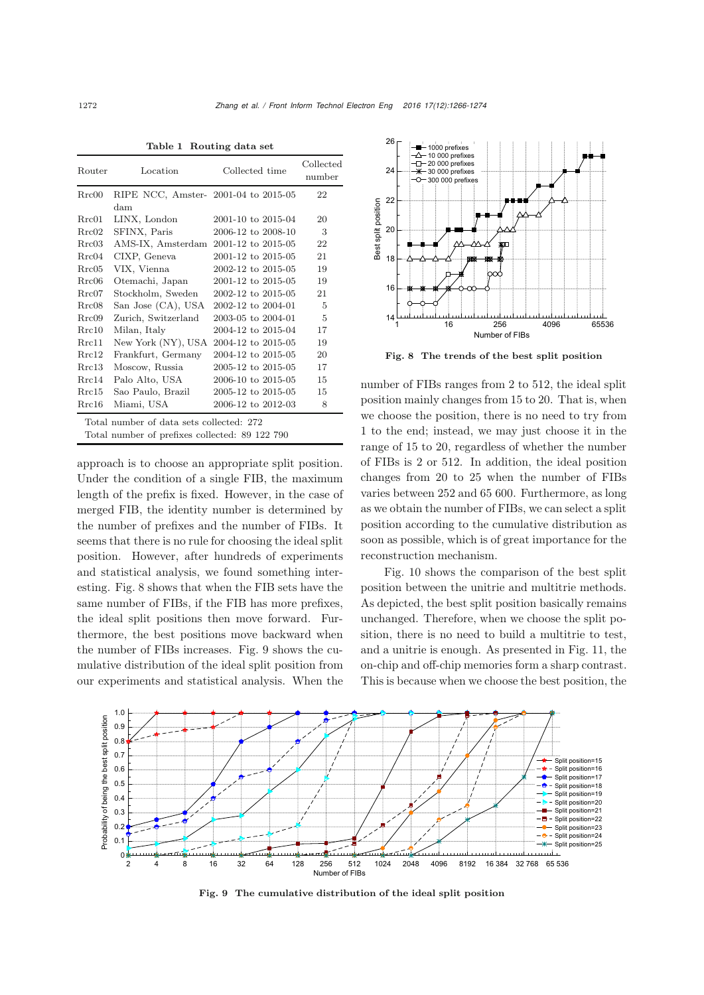<span id="page-6-1"></span>Table 1 Routing data set

| Router                                                                                     | Location                             | Collected time             | Collected<br>number |  |
|--------------------------------------------------------------------------------------------|--------------------------------------|----------------------------|---------------------|--|
| Rrc00                                                                                      | RIPE NCC, Amster-2001-04 to 2015-05  |                            | 22                  |  |
|                                                                                            | dam                                  |                            |                     |  |
| Rrc01                                                                                      | LINX, London                         | 2001-10 to 2015-04         | 20                  |  |
| Rrc02                                                                                      | SFINX, Paris                         | 2006-12 to 2008-10         | 3                   |  |
| Rrc03                                                                                      | AMS-IX, Amsterdam 2001-12 to 2015-05 |                            | 22                  |  |
| Rrc04                                                                                      | CIXP, Geneva                         | 2001-12 to 2015-05         | 21                  |  |
| Rrc05                                                                                      | VIX, Vienna                          | 2002-12 to 2015-05         | 19                  |  |
| Rrc06                                                                                      | Otemachi, Japan                      | 2001-12 to 2015-05         | 19                  |  |
| Rrc07                                                                                      | Stockholm, Sweden                    | 2002-12 to 2015-05         | 21                  |  |
| Rrc08                                                                                      | San Jose (CA), USA                   | $2002 - 12$ to $2004 - 01$ | $\overline{5}$      |  |
| Rrc09                                                                                      | Zurich, Switzerland                  | 2003-05 to 2004-01         | 5                   |  |
| Rrc10                                                                                      | Milan, Italy                         | 2004-12 to 2015-04         | 17                  |  |
| Rrc11                                                                                      | New York (NY), USA                   | 2004-12 to 2015-05         | 19                  |  |
| Rrc12                                                                                      | Frankfurt, Germany                   | 2004-12 to 2015-05         | 20                  |  |
| Rrc13                                                                                      | Moscow, Russia                       | $2005 - 12$ to $2015 - 05$ | 17                  |  |
| Rrc14                                                                                      | Palo Alto, USA                       | 2006-10 to 2015-05         | 15                  |  |
| Rrc15                                                                                      | Sao Paulo, Brazil                    | 2005-12 to 2015-05         | 15                  |  |
| Rrc16                                                                                      | Miami, USA                           | 2006-12 to 2012-03         | 8                   |  |
| Total number of data sets collected: 272<br>Total number of prefixes collected: 89 122 790 |                                      |                            |                     |  |

approach is to choose an appropriate split position. Under the condition of a single FIB, the maximum length of the prefix is fixed. However, in the case of merged FIB, the identity number is determined by the number of prefixes and the number of FIBs. It seems that there is no rule for choosing the ideal split position. However, after hundreds of experiments and statistical analysis, we found something interesting. Fig. [8](#page-6-2) shows that when the FIB sets have the same number of FIBs, if the FIB has more prefixes, the ideal split positions then move forward. Furthermore, the best positions move backward when the number of FIBs increases. Fig. [9](#page-6-0) shows the cumulative distribution of the ideal split position from our experiments and statistical analysis. When the



<span id="page-6-2"></span>Fig. 8 The trends of the best split position

number of FIBs ranges from 2 to 512, the ideal split position mainly changes from 15 to 20. That is, when we choose the position, there is no need to try from 1 to the end; instead, we may just choose it in the range of 15 to 20, regardless of whether the number of FIBs is 2 or 512. In addition, the ideal position changes from 20 to 25 when the number of FIBs varies between 252 and 65 600. Furthermore, as long as we obtain the number of FIBs, we can select a split position according to the cumulative distribution as soon as possible, which is of great importance for the reconstruction mechanism.

Fig. [10](#page-7-9) shows the comparison of the best split position between the unitrie and multitrie methods. As depicted, the best split position basically remains unchanged. Therefore, when we choose the split position, there is no need to build a multitrie to test, and a unitrie is enough. As presented in Fig. [11,](#page-7-10) the on-chip and off-chip memories form a sharp contrast. This is because when we choose the best position, the



<span id="page-6-0"></span>Fig. 9 The cumulative distribution of the ideal split position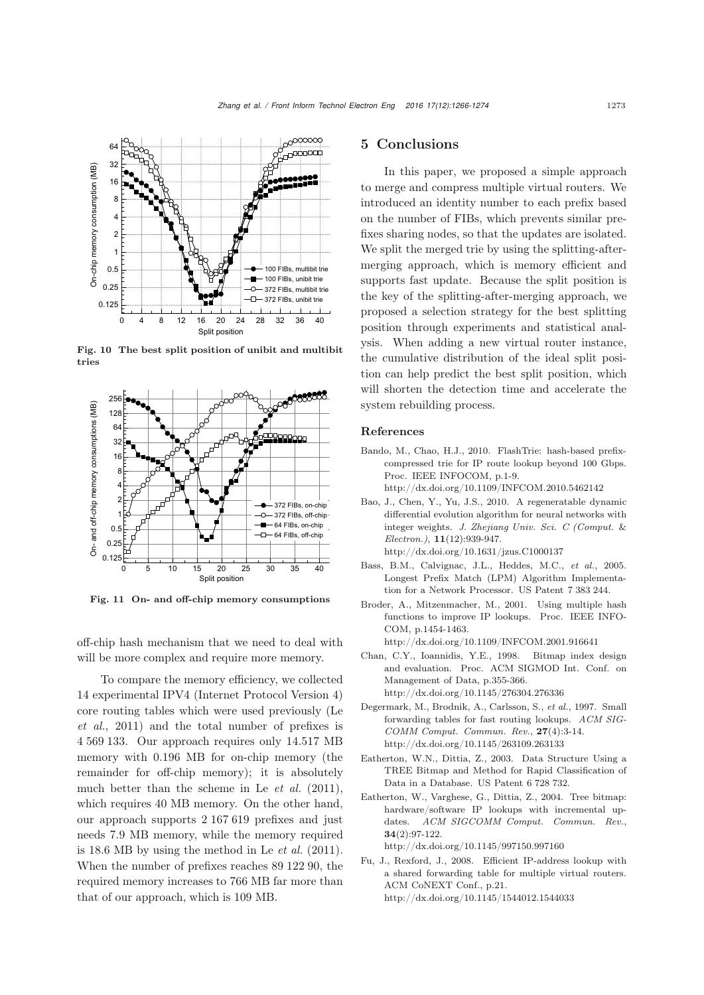

<span id="page-7-9"></span>Fig. 10 The best split position of unibit and multibit tries



<span id="page-7-10"></span>Fig. 11 On- and off-chip memory consumptions

off-chip hash mechanism that we need to deal with will be more complex and require more memory.

To compare the memory efficiency, we collected 14 experimental IPV4 (Internet Protocol Version 4) core [routing](#page-8-12) [tables](#page-8-12) [which](#page-8-12) [were](#page-8-12) [used](#page-8-12) [previously](#page-8-12) [\(](#page-8-12)Le *et al.*, [2011\)](#page-8-12) and the total number of prefixes is 4 569 133. Our approach requires only 14.517 MB memory with 0.196 MB for on-chip memory (the remainder for off-chip memory); it is absolutely much better than the scheme in Le *[et al.](#page-8-12)* [\(2011\)](#page-8-12), which requires 40 MB memory. On the other hand, our approach supports 2 167 619 prefixes and just needs 7.9 MB memory, while the memory required is 18.6 MB by using the method in Le *[et al.](#page-8-12)* [\(2011\)](#page-8-12). When the number of prefixes reaches 89 122 90, the required memory increases to 766 MB far more than that of our approach, which is 109 MB.

## 5 Conclusions

In this paper, we proposed a simple approach to merge and compress multiple virtual routers. We introduced an identity number to each prefix based on the number of FIBs, which prevents similar prefixes sharing nodes, so that the updates are isolated. We split the merged trie by using the splitting-aftermerging approach, which is memory efficient and supports fast update. Because the split position is the key of the splitting-after-merging approach, we proposed a selection strategy for the best splitting position through experiments and statistical analysis. When adding a new virtual router instance, the cumulative distribution of the ideal split position can help predict the best split position, which will shorten the detection time and accelerate the system rebuilding process.

#### References

- <span id="page-7-0"></span>Bando, M., Chao, H.J., 2010. FlashTrie: hash-based prefixcompressed trie for IP route lookup beyond 100 Gbps. Proc. IEEE INFOCOM, p.1-9. http://dx.doi.org/10.1109/INFCOM.2010.5462142
- <span id="page-7-1"></span>Bao, J., Chen, Y., Yu, J.S., 2010. A regeneratable dynamic differential evolution algorithm for neural networks with integer weights. *J. Zhejiang Univ. Sci. C (Comput.* & *Electron.)*, 11(12):939-947. http://dx.doi.org/10.1631/jzus.C1000137
- <span id="page-7-7"></span>Bass, B.M., Calvignac, J.L., Heddes, M.C., *et al.*, 2005. Longest Prefix Match (LPM) Algorithm Implementation for a Network Processor. US Patent 7 383 244.
- <span id="page-7-8"></span>Broder, A., Mitzenmacher, M., 2001. Using multiple hash functions to improve IP lookups. Proc. IEEE INFO-COM, p.1454-1463. http://dx.doi.org/10.1109/INFCOM.2001.916641
- <span id="page-7-4"></span>Chan, C.Y., Ioannidis, Y.E., 1998. Bitmap index design and evaluation. Proc. ACM SIGMOD Int. Conf. on Management of Data, p.355-366. http://dx.doi.org/10.1145/276304.276336
- <span id="page-7-5"></span>Degermark, M., Brodnik, A., Carlsson, S., *et al.*, 1997. Small forwarding tables for fast routing lookups. *ACM SIG-COMM Comput. Commun. Rev.*, 27(4):3-14. http://dx.doi.org/10.1145/263109.263133
- <span id="page-7-3"></span>Eatherton, W.N., Dittia, Z., 2003. Data Structure Using a TREE Bitmap and Method for Rapid Classification of Data in a Database. US Patent 6 728 732.
- <span id="page-7-6"></span>Eatherton, W., Varghese, G., Dittia, Z., 2004. Tree bitmap: hardware/software IP lookups with incremental updates. *ACM SIGCOMM Comput. Commun. Rev.*, 34(2):97-122. http://dx.doi.org/10.1145/997150.997160
- <span id="page-7-2"></span>Fu, J., Rexford, J., 2008. Efficient IP-address lookup with a shared forwarding table for multiple virtual routers. ACM CoNEXT Conf., p.21. http://dx.doi.org/10.1145/1544012.1544033